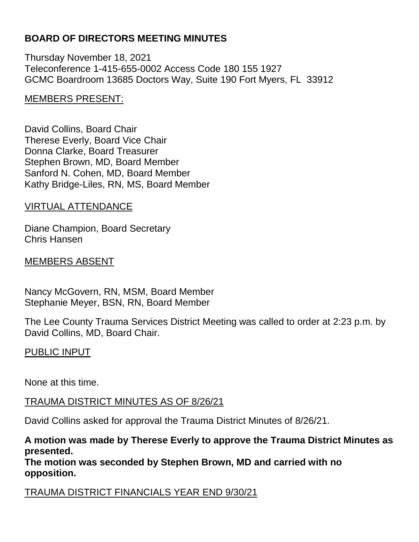## **BOARD OF DIRECTORS MEETING MINUTES**

Thursday November 18, 2021 Teleconference 1-415-655-0002 Access Code 180 155 1927 GCMC Boardroom 13685 Doctors Way, Suite 190 Fort Myers, FL 33912

### MEMBERS PRESENT:

David Collins, Board Chair Therese Everly, Board Vice Chair Donna Clarke, Board Treasurer Stephen Brown, MD, Board Member Sanford N. Cohen, MD, Board Member Kathy Bridge-Liles, RN, MS, Board Member

### VIRTUAL ATTENDANCE

Diane Champion, Board Secretary Chris Hansen

### MEMBERS ABSENT

Nancy McGovern, RN, MSM, Board Member Stephanie Meyer, BSN, RN, Board Member

The Lee County Trauma Services District Meeting was called to order at 2:23 p.m. by David Collins, MD, Board Chair.

### PUBLIC INPUT

None at this time.

### TRAUMA DISTRICT MINUTES AS OF 8/26/21

David Collins asked for approval the Trauma District Minutes of 8/26/21.

### **A motion was made by Therese Everly to approve the Trauma District Minutes as presented.**

**The motion was seconded by Stephen Brown, MD and carried with no opposition.**

TRAUMA DISTRICT FINANCIALS YEAR END 9/30/21